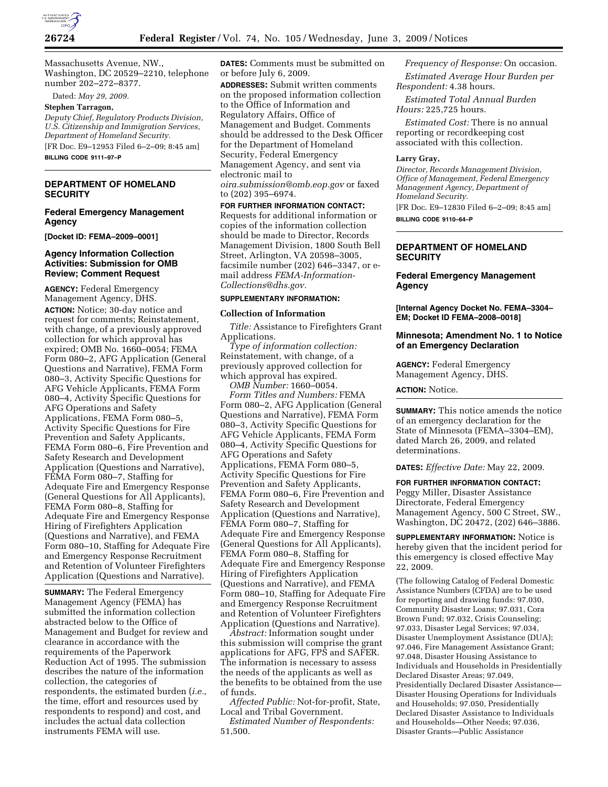

Massachusetts Avenue, NW., Washington, DC 20529–2210, telephone number 202–272–8377.

Dated: *May 29, 2009.* 

**Stephen Tarragon,** 

*Deputy Chief, Regulatory Products Division, U.S. Citizenship and Immigration Services, Department of Homeland Security.*  [FR Doc. E9–12953 Filed 6–2–09; 8:45 am] **BILLING CODE 9111–97–P** 

### **DEPARTMENT OF HOMELAND SECURITY**

#### **Federal Emergency Management Agency**

**[Docket ID: FEMA–2009–0001]** 

### **Agency Information Collection Activities: Submission for OMB Review; Comment Request**

**AGENCY:** Federal Emergency Management Agency, DHS. **ACTION:** Notice; 30-day notice and request for comments; Reinstatement, with change, of a previously approved collection for which approval has expired; OMB No. 1660–0054; FEMA Form 080–2, AFG Application (General Questions and Narrative), FEMA Form 080–3, Activity Specific Questions for AFG Vehicle Applicants, FEMA Form 080–4, Activity Specific Questions for AFG Operations and Safety Applications, FEMA Form 080–5, Activity Specific Questions for Fire Prevention and Safety Applicants, FEMA Form 080–6, Fire Prevention and Safety Research and Development Application (Questions and Narrative), FEMA Form 080–7, Staffing for Adequate Fire and Emergency Response (General Questions for All Applicants), FEMA Form 080–8, Staffing for Adequate Fire and Emergency Response Hiring of Firefighters Application (Questions and Narrative), and FEMA Form 080–10, Staffing for Adequate Fire and Emergency Response Recruitment and Retention of Volunteer Firefighters Application (Questions and Narrative).

**SUMMARY:** The Federal Emergency Management Agency (FEMA) has submitted the information collection abstracted below to the Office of Management and Budget for review and clearance in accordance with the requirements of the Paperwork Reduction Act of 1995. The submission describes the nature of the information collection, the categories of respondents, the estimated burden (*i.e.,*  the time, effort and resources used by respondents to respond) and cost, and includes the actual data collection instruments FEMA will use.

**DATES:** Comments must be submitted on or before July 6, 2009.

**ADDRESSES:** Submit written comments on the proposed information collection to the Office of Information and Regulatory Affairs, Office of Management and Budget. Comments should be addressed to the Desk Officer for the Department of Homeland Security, Federal Emergency Management Agency, and sent via electronic mail to *oira.submission@omb.eop.gov* or faxed to (202) 395–6974.

**FOR FURTHER INFORMATION CONTACT:**  Requests for additional information or copies of the information collection should be made to Director, Records Management Division, 1800 South Bell Street, Arlington, VA 20598–3005, facsimile number (202) 646–3347, or email address *FEMA-Information-Collections@dhs.gov.* 

#### **SUPPLEMENTARY INFORMATION:**

#### **Collection of Information**

*Title:* Assistance to Firefighters Grant Applications.

*Type of information collection:*  Reinstatement, with change, of a previously approved collection for which approval has expired.

*OMB Number:* 1660–0054. *Form Titles and Numbers:* FEMA Form 080–2, AFG Application (General Questions and Narrative), FEMA Form 080–3, Activity Specific Questions for AFG Vehicle Applicants, FEMA Form 080–4, Activity Specific Questions for AFG Operations and Safety Applications, FEMA Form 080–5, Activity Specific Questions for Fire Prevention and Safety Applicants, FEMA Form 080–6, Fire Prevention and Safety Research and Development Application (Questions and Narrative), FEMA Form 080–7, Staffing for Adequate Fire and Emergency Response (General Questions for All Applicants), FEMA Form 080–8, Staffing for Adequate Fire and Emergency Response Hiring of Firefighters Application (Questions and Narrative), and FEMA Form 080–10, Staffing for Adequate Fire and Emergency Response Recruitment and Retention of Volunteer Firefighters Application (Questions and Narrative).

*Abstract:* Information sought under this submission will comprise the grant applications for AFG, FPS and SAFER. The information is necessary to assess the needs of the applicants as well as the benefits to be obtained from the use of funds.

*Affected Public:* Not-for-profit, State, Local and Tribal Government.

*Estimated Number of Respondents:*  51,500.

*Frequency of Response:* On occasion.

*Estimated Average Hour Burden per Respondent:* 4.38 hours.

*Estimated Total Annual Burden Hours:* 225,725 hours.

*Estimated Cost:* There is no annual reporting or recordkeeping cost associated with this collection.

#### **Larry Gray,**

*Director, Records Management Division, Office of Management, Federal Emergency Management Agency, Department of Homeland Security.* 

[FR Doc. E9–12830 Filed 6–2–09; 8:45 am] **BILLING CODE 9110–64–P** 

### **DEPARTMENT OF HOMELAND SECURITY**

#### **Federal Emergency Management Agency**

**[Internal Agency Docket No. FEMA–3304– EM; Docket ID FEMA–2008–0018]** 

#### **Minnesota; Amendment No. 1 to Notice of an Emergency Declaration**

**AGENCY:** Federal Emergency Management Agency, DHS.

**ACTION:** Notice.

**SUMMARY:** This notice amends the notice of an emergency declaration for the State of Minnesota (FEMA–3304–EM), dated March 26, 2009, and related determinations.

**DATES:** *Effective Date:* May 22, 2009.

#### **FOR FURTHER INFORMATION CONTACT:**

Peggy Miller, Disaster Assistance Directorate, Federal Emergency Management Agency, 500 C Street, SW., Washington, DC 20472, (202) 646–3886.

**SUPPLEMENTARY INFORMATION:** Notice is hereby given that the incident period for this emergency is closed effective May 22, 2009.

(The following Catalog of Federal Domestic Assistance Numbers (CFDA) are to be used for reporting and drawing funds: 97.030, Community Disaster Loans; 97.031, Cora Brown Fund; 97.032, Crisis Counseling; 97.033, Disaster Legal Services; 97.034, Disaster Unemployment Assistance (DUA); 97.046, Fire Management Assistance Grant; 97.048, Disaster Housing Assistance to Individuals and Households in Presidentially Declared Disaster Areas; 97.049, Presidentially Declared Disaster Assistance— Disaster Housing Operations for Individuals and Households; 97.050, Presidentially Declared Disaster Assistance to Individuals and Households—Other Needs; 97.036, Disaster Grants—Public Assistance